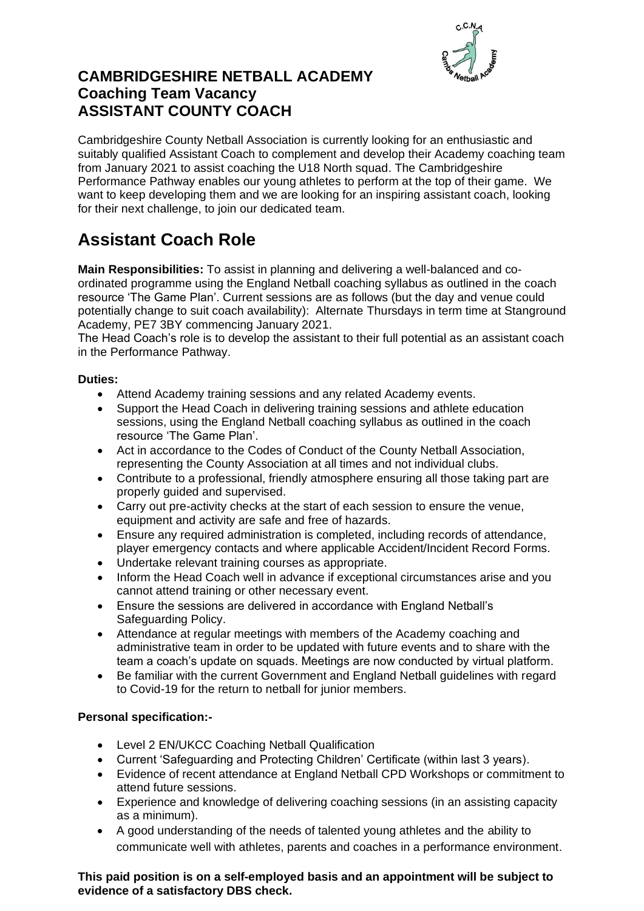

## **CAMBRIDGESHIRE NETBALL ACADEMY Coaching Team Vacancy ASSISTANT COUNTY COACH**

Cambridgeshire County Netball Association is currently looking for an enthusiastic and suitably qualified Assistant Coach to complement and develop their Academy coaching team from January 2021 to assist coaching the U18 North squad. The Cambridgeshire Performance Pathway enables our young athletes to perform at the top of their game. We want to keep developing them and we are looking for an inspiring assistant coach, looking for their next challenge, to join our dedicated team.

# **Assistant Coach Role**

**Main Responsibilities:** To assist in planning and delivering a well-balanced and coordinated programme using the England Netball coaching syllabus as outlined in the coach resource 'The Game Plan'. Current sessions are as follows (but the day and venue could potentially change to suit coach availability): Alternate Thursdays in term time at Stanground Academy, PE7 3BY commencing January 2021.

The Head Coach's role is to develop the assistant to their full potential as an assistant coach in the Performance Pathway.

#### **Duties:**

- Attend Academy training sessions and any related Academy events.
- Support the Head Coach in delivering training sessions and athlete education sessions, using the England Netball coaching syllabus as outlined in the coach resource 'The Game Plan'.
- Act in accordance to the Codes of Conduct of the County Netball Association, representing the County Association at all times and not individual clubs.
- Contribute to a professional, friendly atmosphere ensuring all those taking part are properly guided and supervised.
- Carry out pre-activity checks at the start of each session to ensure the venue, equipment and activity are safe and free of hazards.
- Ensure any required administration is completed, including records of attendance, player emergency contacts and where applicable Accident/Incident Record Forms.
- Undertake relevant training courses as appropriate.
- Inform the Head Coach well in advance if exceptional circumstances arise and you cannot attend training or other necessary event.
- Ensure the sessions are delivered in accordance with England Netball's Safeguarding Policy.
- Attendance at regular meetings with members of the Academy coaching and administrative team in order to be updated with future events and to share with the team a coach's update on squads. Meetings are now conducted by virtual platform.
- Be familiar with the current Government and England Netball guidelines with regard to Covid-19 for the return to netball for junior members.

### **Personal specification:-**

- Level 2 EN/UKCC Coaching Netball Qualification
- Current 'Safeguarding and Protecting Children' Certificate (within last 3 years).
- Evidence of recent attendance at England Netball CPD Workshops or commitment to attend future sessions.
- Experience and knowledge of delivering coaching sessions (in an assisting capacity as a minimum).
- A good understanding of the needs of talented young athletes and the ability to communicate well with athletes, parents and coaches in a performance environment.

#### **This paid position is on a self-employed basis and an appointment will be subject to evidence of a satisfactory DBS check.**